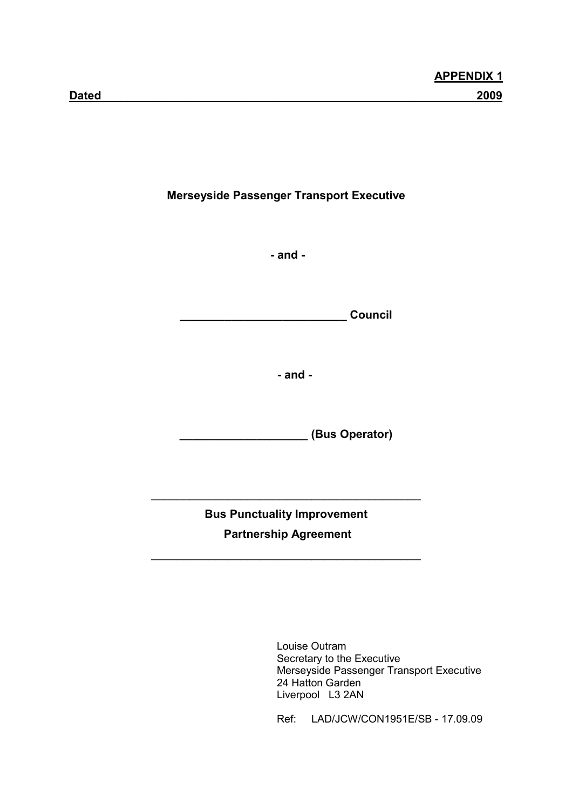Merseyside Passenger Transport Executive

- and -

\_\_\_\_\_\_\_\_\_\_\_\_\_\_\_\_\_\_\_\_\_\_\_\_\_\_ Council

- and -

\_\_\_\_\_\_\_\_\_\_\_\_\_\_\_\_\_\_\_\_ (Bus Operator)

Bus Punctuality Improvement Partnership Agreement

 $\overline{\phantom{a}}$  , and the set of the set of the set of the set of the set of the set of the set of the set of the set of the set of the set of the set of the set of the set of the set of the set of the set of the set of the s

 $\overline{\phantom{a}}$  , and the set of the set of the set of the set of the set of the set of the set of the set of the set of the set of the set of the set of the set of the set of the set of the set of the set of the set of the s

 Louise Outram Secretary to the Executive Merseyside Passenger Transport Executive 24 Hatton Garden Liverpool L3 2AN

Ref: LAD/JCW/CON1951E/SB - 17.09.09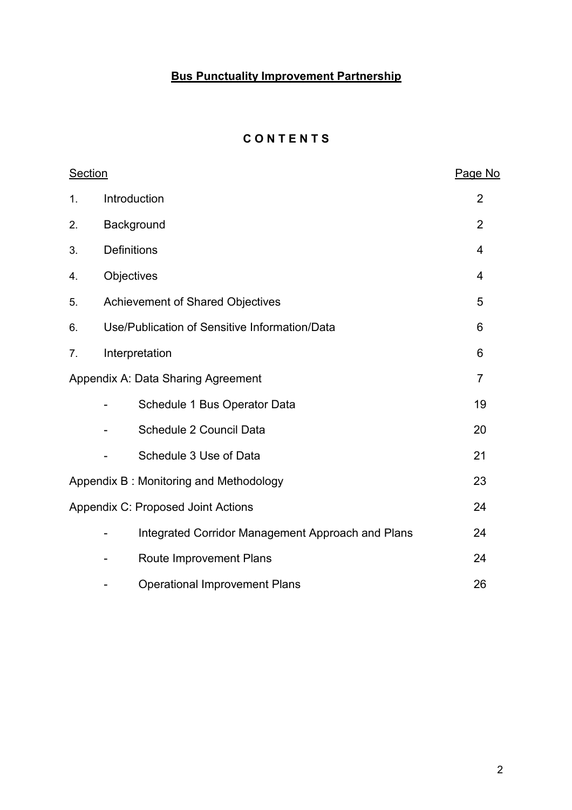# **Bus Punctuality Improvement Partnership**

# **CONTENTS**

| <b>Section</b> |                                               |                                                   | Page No        |
|----------------|-----------------------------------------------|---------------------------------------------------|----------------|
| 1.             | Introduction                                  |                                                   | $\overline{2}$ |
| 2.             | Background                                    |                                                   | $\overline{2}$ |
| 3.             | <b>Definitions</b>                            |                                                   | $\overline{4}$ |
| 4.             | Objectives                                    |                                                   | 4              |
| 5.             | Achievement of Shared Objectives              |                                                   | 5              |
| 6.             | Use/Publication of Sensitive Information/Data |                                                   | 6              |
| 7.             | Interpretation                                |                                                   | 6              |
|                | Appendix A: Data Sharing Agreement            |                                                   | $\overline{7}$ |
|                | Schedule 1 Bus Operator Data                  |                                                   | 19             |
|                | Schedule 2 Council Data                       |                                                   | 20             |
|                | Schedule 3 Use of Data                        |                                                   | 21             |
|                | Appendix B: Monitoring and Methodology        |                                                   | 23             |
|                | Appendix C: Proposed Joint Actions            |                                                   | 24             |
|                |                                               | Integrated Corridor Management Approach and Plans | 24             |
|                | Route Improvement Plans                       |                                                   | 24             |
|                | <b>Operational Improvement Plans</b>          |                                                   | 26             |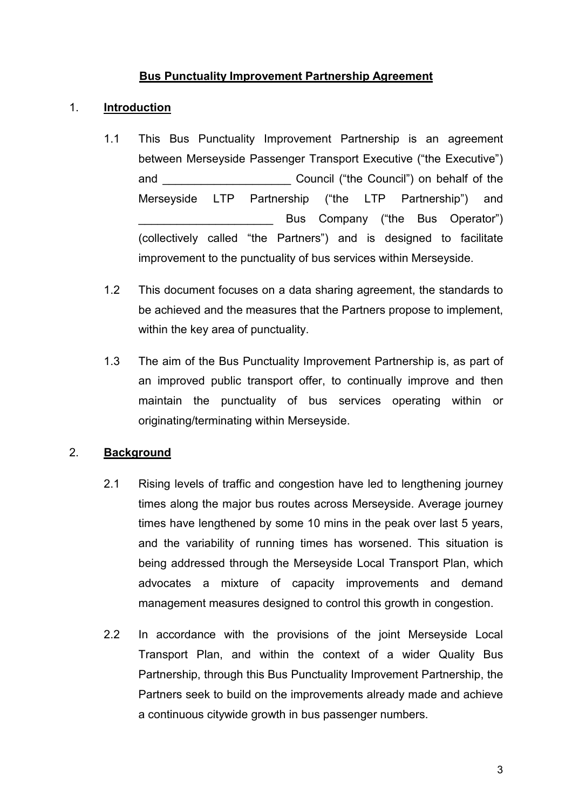## Bus Punctuality Improvement Partnership Agreement

## 1. Introduction

- 1.1 This Bus Punctuality Improvement Partnership is an agreement between Merseyside Passenger Transport Executive ("the Executive") and and  $C$ ouncil ("the Council") on behalf of the Merseyside LTP Partnership ("the LTP Partnership") and Bus Company ("the Bus Operator") (collectively called "the Partners") and is designed to facilitate improvement to the punctuality of bus services within Merseyside.
- 1.2 This document focuses on a data sharing agreement, the standards to be achieved and the measures that the Partners propose to implement, within the key area of punctuality.
- 1.3 The aim of the Bus Punctuality Improvement Partnership is, as part of an improved public transport offer, to continually improve and then maintain the punctuality of bus services operating within or originating/terminating within Merseyside.

## 2. Background

- 2.1 Rising levels of traffic and congestion have led to lengthening journey times along the major bus routes across Merseyside. Average journey times have lengthened by some 10 mins in the peak over last 5 years, and the variability of running times has worsened. This situation is being addressed through the Merseyside Local Transport Plan, which advocates a mixture of capacity improvements and demand management measures designed to control this growth in congestion.
- 2.2 In accordance with the provisions of the joint Merseyside Local Transport Plan, and within the context of a wider Quality Bus Partnership, through this Bus Punctuality Improvement Partnership, the Partners seek to build on the improvements already made and achieve a continuous citywide growth in bus passenger numbers.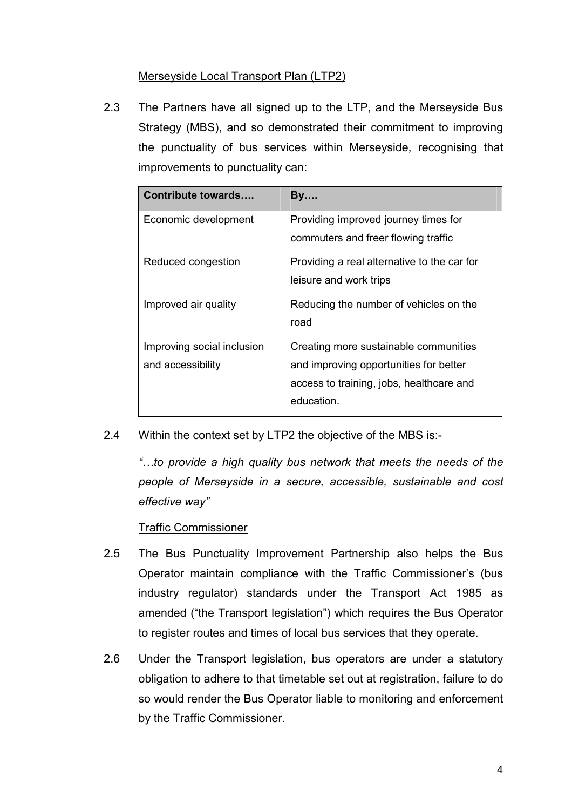# Merseyside Local Transport Plan (LTP2)

2.3 The Partners have all signed up to the LTP, and the Merseyside Bus Strategy (MBS), and so demonstrated their commitment to improving the punctuality of bus services within Merseyside, recognising that improvements to punctuality can:

| <b>Contribute towards</b>                       | <b>By</b>                                                                                                                                 |
|-------------------------------------------------|-------------------------------------------------------------------------------------------------------------------------------------------|
| Economic development                            | Providing improved journey times for<br>commuters and freer flowing traffic                                                               |
| Reduced congestion                              | Providing a real alternative to the car for<br>leisure and work trips                                                                     |
| Improved air quality                            | Reducing the number of vehicles on the<br>road                                                                                            |
| Improving social inclusion<br>and accessibility | Creating more sustainable communities<br>and improving opportunities for better<br>access to training, jobs, healthcare and<br>education. |

2.4 Within the context set by LTP2 the objective of the MBS is:-

 "…to provide a high quality bus network that meets the needs of the people of Merseyside in a secure, accessible, sustainable and cost effective way"

#### Traffic Commissioner

- 2.5 The Bus Punctuality Improvement Partnership also helps the Bus Operator maintain compliance with the Traffic Commissioner's (bus industry regulator) standards under the Transport Act 1985 as amended ("the Transport legislation") which requires the Bus Operator to register routes and times of local bus services that they operate.
- 2.6 Under the Transport legislation, bus operators are under a statutory obligation to adhere to that timetable set out at registration, failure to do so would render the Bus Operator liable to monitoring and enforcement by the Traffic Commissioner.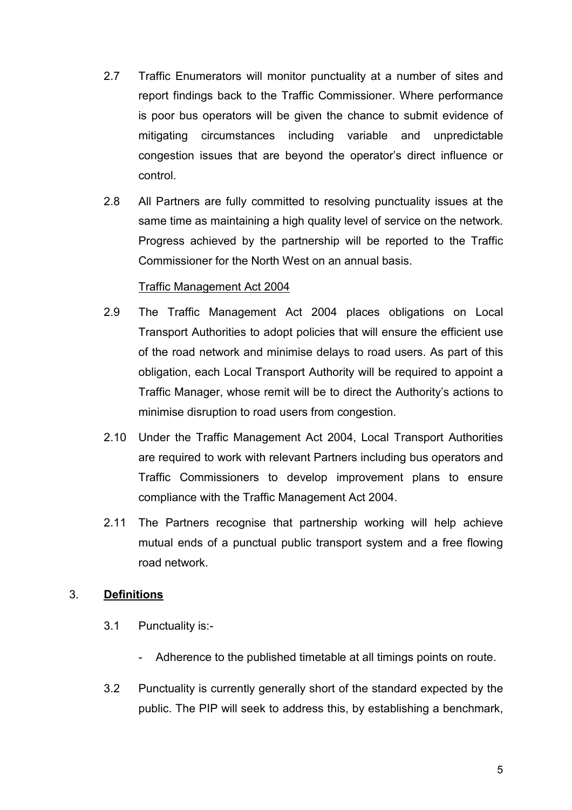- 2.7 Traffic Enumerators will monitor punctuality at a number of sites and report findings back to the Traffic Commissioner. Where performance is poor bus operators will be given the chance to submit evidence of mitigating circumstances including variable and unpredictable congestion issues that are beyond the operator's direct influence or control.
- 2.8 All Partners are fully committed to resolving punctuality issues at the same time as maintaining a high quality level of service on the network. Progress achieved by the partnership will be reported to the Traffic Commissioner for the North West on an annual basis.

## Traffic Management Act 2004

- 2.9 The Traffic Management Act 2004 places obligations on Local Transport Authorities to adopt policies that will ensure the efficient use of the road network and minimise delays to road users. As part of this obligation, each Local Transport Authority will be required to appoint a Traffic Manager, whose remit will be to direct the Authority's actions to minimise disruption to road users from congestion.
- 2.10 Under the Traffic Management Act 2004, Local Transport Authorities are required to work with relevant Partners including bus operators and Traffic Commissioners to develop improvement plans to ensure compliance with the Traffic Management Act 2004.
- 2.11 The Partners recognise that partnership working will help achieve mutual ends of a punctual public transport system and a free flowing road network.

## 3. Definitions

- 3.1 Punctuality is:-
	- Adherence to the published timetable at all timings points on route.
- 3.2 Punctuality is currently generally short of the standard expected by the public. The PIP will seek to address this, by establishing a benchmark,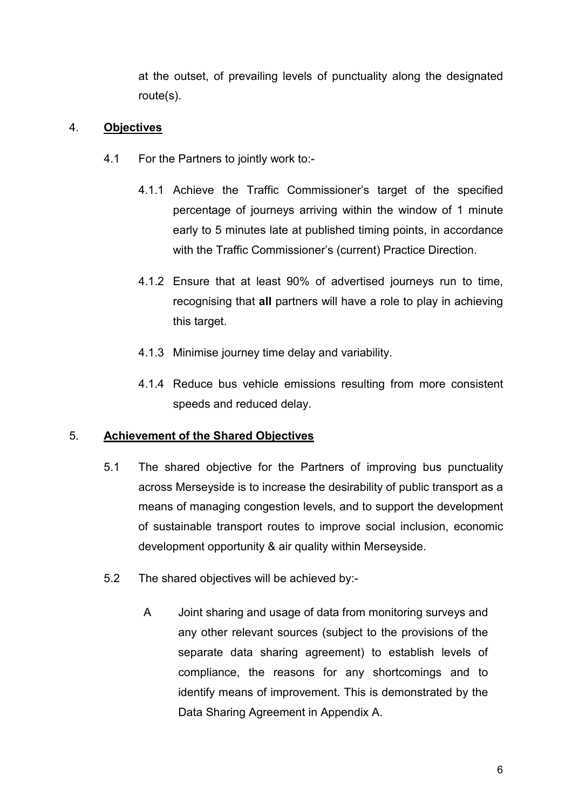at the outset, of prevailing levels of punctuality along the designated route(s).

## 4. Objectives

- 4.1 For the Partners to jointly work to:-
	- 4.1.1 Achieve the Traffic Commissioner's target of the specified percentage of journeys arriving within the window of 1 minute early to 5 minutes late at published timing points, in accordance with the Traffic Commissioner's (current) Practice Direction.
	- 4.1.2 Ensure that at least 90% of advertised journeys run to time, recognising that all partners will have a role to play in achieving this target.
	- 4.1.3 Minimise journey time delay and variability.
	- 4.1.4 Reduce bus vehicle emissions resulting from more consistent speeds and reduced delay.

## 5. Achievement of the Shared Objectives

- 5.1 The shared objective for the Partners of improving bus punctuality across Merseyside is to increase the desirability of public transport as a means of managing congestion levels, and to support the development of sustainable transport routes to improve social inclusion, economic development opportunity & air quality within Merseyside.
- 5.2 The shared objectives will be achieved by:-
	- A Joint sharing and usage of data from monitoring surveys and any other relevant sources (subject to the provisions of the separate data sharing agreement) to establish levels of compliance, the reasons for any shortcomings and to identify means of improvement. This is demonstrated by the Data Sharing Agreement in Appendix A.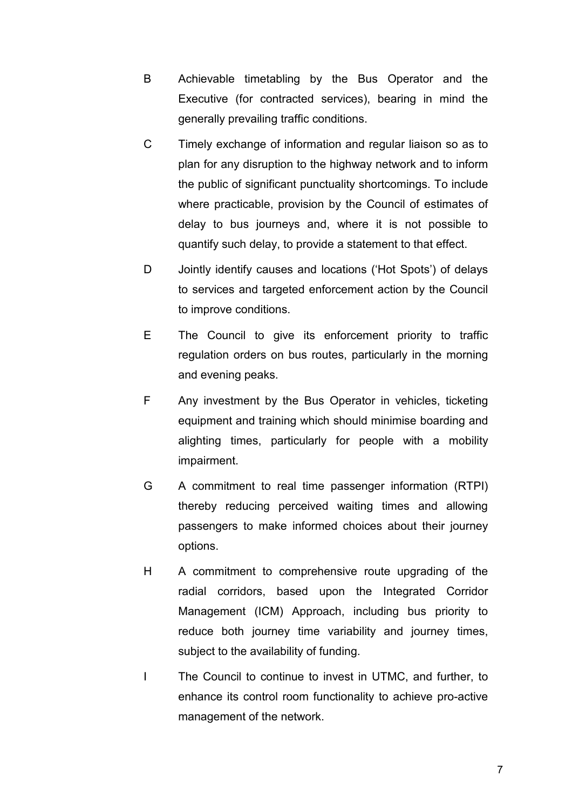- B Achievable timetabling by the Bus Operator and the Executive (for contracted services), bearing in mind the generally prevailing traffic conditions.
- C Timely exchange of information and regular liaison so as to plan for any disruption to the highway network and to inform the public of significant punctuality shortcomings. To include where practicable, provision by the Council of estimates of delay to bus journeys and, where it is not possible to quantify such delay, to provide a statement to that effect.
- D Jointly identify causes and locations ('Hot Spots') of delays to services and targeted enforcement action by the Council to improve conditions.
- E The Council to give its enforcement priority to traffic regulation orders on bus routes, particularly in the morning and evening peaks.
- F Any investment by the Bus Operator in vehicles, ticketing equipment and training which should minimise boarding and alighting times, particularly for people with a mobility impairment.
- G A commitment to real time passenger information (RTPI) thereby reducing perceived waiting times and allowing passengers to make informed choices about their journey options.
- H A commitment to comprehensive route upgrading of the radial corridors, based upon the Integrated Corridor Management (ICM) Approach, including bus priority to reduce both journey time variability and journey times, subject to the availability of funding.
- I The Council to continue to invest in UTMC, and further, to enhance its control room functionality to achieve pro-active management of the network.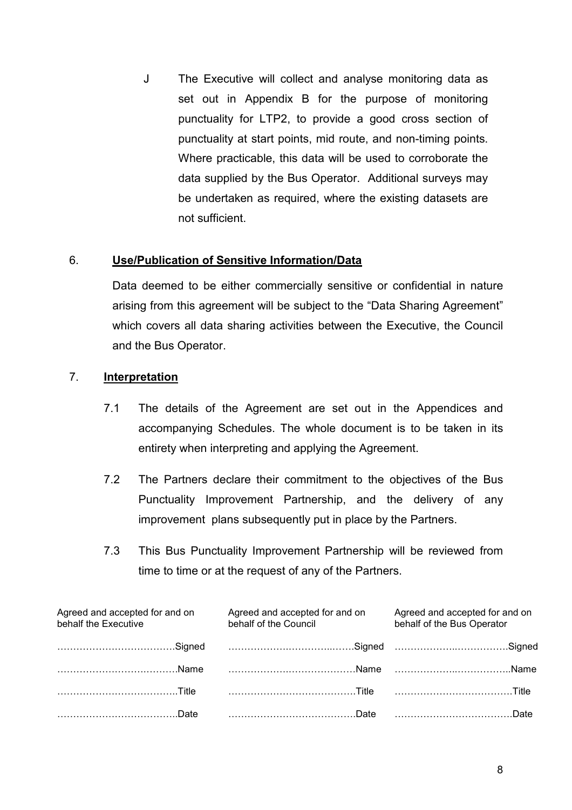J The Executive will collect and analyse monitoring data as set out in Appendix B for the purpose of monitoring punctuality for LTP2, to provide a good cross section of punctuality at start points, mid route, and non-timing points. Where practicable, this data will be used to corroborate the data supplied by the Bus Operator. Additional surveys may be undertaken as required, where the existing datasets are not sufficient.

## 6. Use/Publication of Sensitive Information/Data

Data deemed to be either commercially sensitive or confidential in nature arising from this agreement will be subject to the "Data Sharing Agreement" which covers all data sharing activities between the Executive, the Council and the Bus Operator.

## 7. Interpretation

- 7.1 The details of the Agreement are set out in the Appendices and accompanying Schedules. The whole document is to be taken in its entirety when interpreting and applying the Agreement.
- 7.2 The Partners declare their commitment to the objectives of the Bus Punctuality Improvement Partnership, and the delivery of any improvement plans subsequently put in place by the Partners.
- 7.3 This Bus Punctuality Improvement Partnership will be reviewed from time to time or at the request of any of the Partners.

| Agreed and accepted for and on<br>behalf the Executive                       | Agreed and accepted for and on<br>behalf of the Council | Agreed and accepted for and on<br>behalf of the Bus Operator |
|------------------------------------------------------------------------------|---------------------------------------------------------|--------------------------------------------------------------|
| Signed Signed Signes Signes Signed Signes Signes Signes Signes Signes Signes |                                                         |                                                              |
| Name Name Name                                                               |                                                         |                                                              |
|                                                                              |                                                         |                                                              |
|                                                                              |                                                         |                                                              |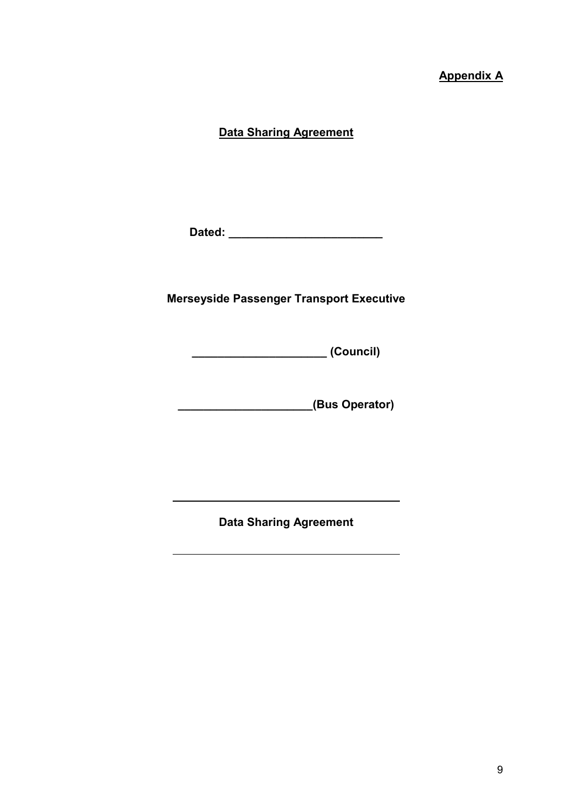# Appendix A

## Data Sharing Agreement

Dated: \_\_\_\_\_\_\_\_\_\_\_\_\_\_\_\_\_\_\_\_\_\_\_\_

# Merseyside Passenger Transport Executive

\_\_\_\_\_\_\_\_\_\_\_\_\_\_\_\_\_\_\_\_\_ (Council)

\_\_\_\_\_\_\_\_\_\_\_\_\_\_\_\_\_\_\_\_\_(Bus Operator)

Data Sharing Agreement

 $\overline{a}$ 

 $\overline{a}$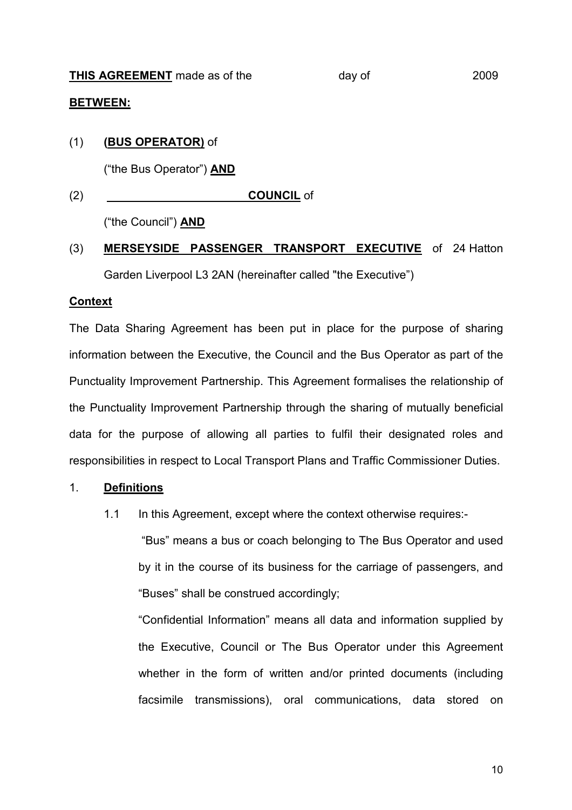#### BETWEEN:

#### (1) (BUS OPERATOR) of

("the Bus Operator") AND

(2) COUNCIL of

("the Council") AND

# (3) MERSEYSIDE PASSENGER TRANSPORT EXECUTIVE of 24 Hatton Garden Liverpool L3 2AN (hereinafter called "the Executive")

#### **Context**

The Data Sharing Agreement has been put in place for the purpose of sharing information between the Executive, the Council and the Bus Operator as part of the Punctuality Improvement Partnership. This Agreement formalises the relationship of the Punctuality Improvement Partnership through the sharing of mutually beneficial data for the purpose of allowing all parties to fulfil their designated roles and responsibilities in respect to Local Transport Plans and Traffic Commissioner Duties.

#### 1. Definitions

1.1 In this Agreement, except where the context otherwise requires:-

 "Bus" means a bus or coach belonging to The Bus Operator and used by it in the course of its business for the carriage of passengers, and "Buses" shall be construed accordingly;

 "Confidential Information" means all data and information supplied by the Executive, Council or The Bus Operator under this Agreement whether in the form of written and/or printed documents (including facsimile transmissions), oral communications, data stored on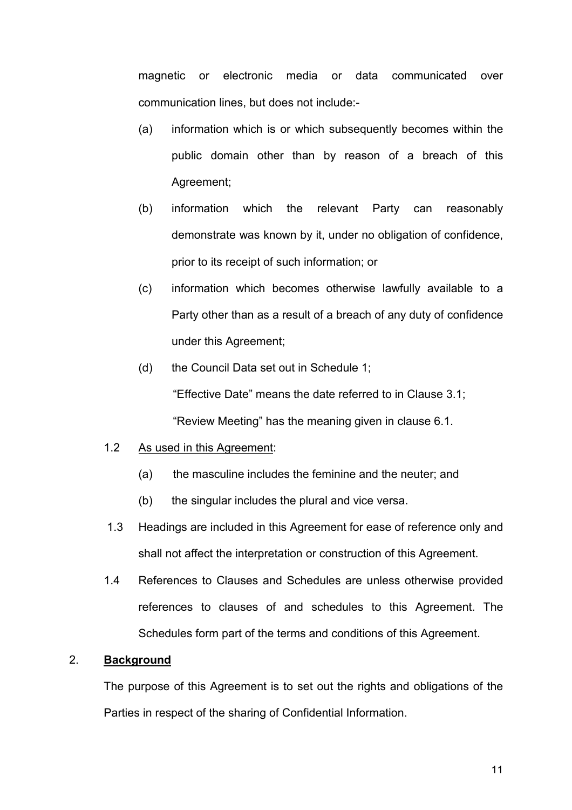magnetic or electronic media or data communicated over communication lines, but does not include:-

- (a) information which is or which subsequently becomes within the public domain other than by reason of a breach of this Agreement;
- (b) information which the relevant Party can reasonably demonstrate was known by it, under no obligation of confidence, prior to its receipt of such information; or
- (c) information which becomes otherwise lawfully available to a Party other than as a result of a breach of any duty of confidence under this Agreement;
- (d) the Council Data set out in Schedule 1; "Effective Date" means the date referred to in Clause 3.1; "Review Meeting" has the meaning given in clause 6.1.

#### 1.2 As used in this Agreement:

- (a) the masculine includes the feminine and the neuter; and
- (b) the singular includes the plural and vice versa.
- 1.3 Headings are included in this Agreement for ease of reference only and shall not affect the interpretation or construction of this Agreement.
- 1.4 References to Clauses and Schedules are unless otherwise provided references to clauses of and schedules to this Agreement. The Schedules form part of the terms and conditions of this Agreement.

## 2. Background

 The purpose of this Agreement is to set out the rights and obligations of the Parties in respect of the sharing of Confidential Information.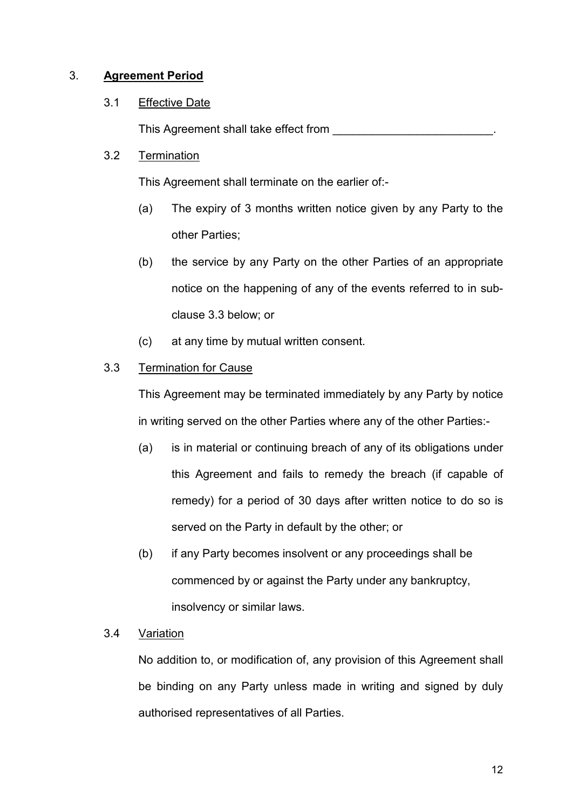## 3. Agreement Period

## 3.1 Effective Date

This Agreement shall take effect from

## 3.2 Termination

This Agreement shall terminate on the earlier of:-

- (a) The expiry of 3 months written notice given by any Party to the other Parties;
- (b) the service by any Party on the other Parties of an appropriate notice on the happening of any of the events referred to in sub clause 3.3 below; or
- (c) at any time by mutual written consent.

# 3.3 Termination for Cause

 This Agreement may be terminated immediately by any Party by notice in writing served on the other Parties where any of the other Parties:-

- (a) is in material or continuing breach of any of its obligations under this Agreement and fails to remedy the breach (if capable of remedy) for a period of 30 days after written notice to do so is served on the Party in default by the other; or
- (b) if any Party becomes insolvent or any proceedings shall be commenced by or against the Party under any bankruptcy, insolvency or similar laws.

## 3.4 Variation

No addition to, or modification of, any provision of this Agreement shall be binding on any Party unless made in writing and signed by duly authorised representatives of all Parties.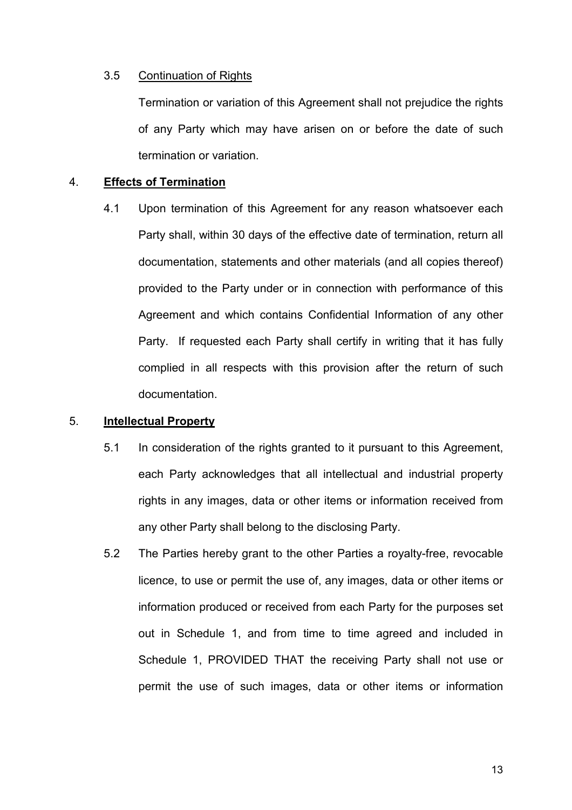#### 3.5 Continuation of Rights

Termination or variation of this Agreement shall not prejudice the rights of any Party which may have arisen on or before the date of such termination or variation.

#### 4. Effects of Termination

 4.1 Upon termination of this Agreement for any reason whatsoever each Party shall, within 30 days of the effective date of termination, return all documentation, statements and other materials (and all copies thereof) provided to the Party under or in connection with performance of this Agreement and which contains Confidential Information of any other Party. If requested each Party shall certify in writing that it has fully complied in all respects with this provision after the return of such documentation.

#### 5. Intellectual Property

- 5.1 In consideration of the rights granted to it pursuant to this Agreement, each Party acknowledges that all intellectual and industrial property rights in any images, data or other items or information received from any other Party shall belong to the disclosing Party.
- 5.2 The Parties hereby grant to the other Parties a royalty-free, revocable licence, to use or permit the use of, any images, data or other items or information produced or received from each Party for the purposes set out in Schedule 1, and from time to time agreed and included in Schedule 1, PROVIDED THAT the receiving Party shall not use or permit the use of such images, data or other items or information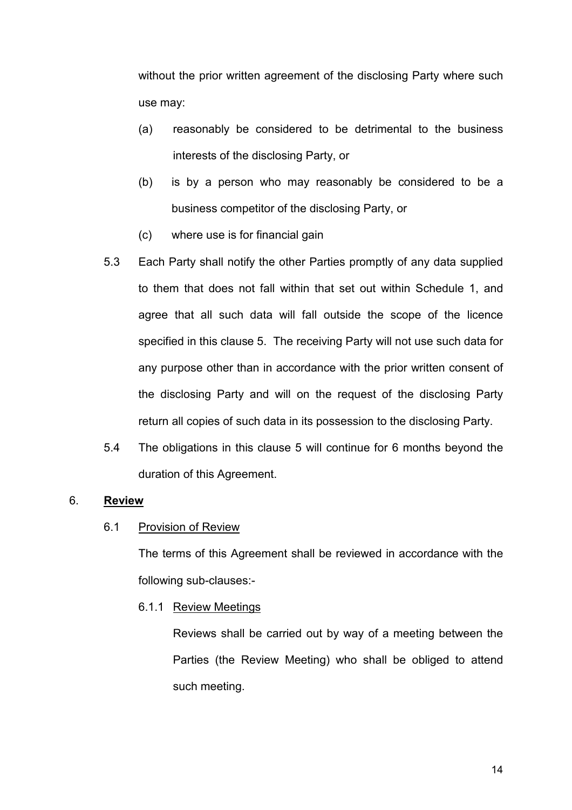without the prior written agreement of the disclosing Party where such use may:

- (a) reasonably be considered to be detrimental to the business interests of the disclosing Party, or
- (b) is by a person who may reasonably be considered to be a business competitor of the disclosing Party, or
- (c) where use is for financial gain
- 5.3 Each Party shall notify the other Parties promptly of any data supplied to them that does not fall within that set out within Schedule 1, and agree that all such data will fall outside the scope of the licence specified in this clause 5. The receiving Party will not use such data for any purpose other than in accordance with the prior written consent of the disclosing Party and will on the request of the disclosing Party return all copies of such data in its possession to the disclosing Party.
- 5.4 The obligations in this clause 5 will continue for 6 months beyond the duration of this Agreement.

## 6. Review

#### 6.1 Provision of Review

 The terms of this Agreement shall be reviewed in accordance with the following sub-clauses:-

6.1.1 Review Meetings

 Reviews shall be carried out by way of a meeting between the Parties (the Review Meeting) who shall be obliged to attend such meeting.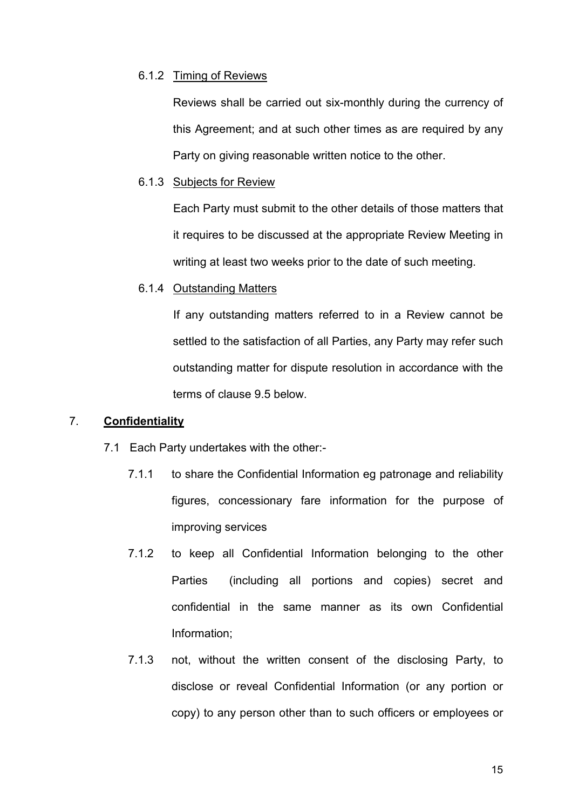#### 6.1.2 Timing of Reviews

 Reviews shall be carried out six-monthly during the currency of this Agreement; and at such other times as are required by any Party on giving reasonable written notice to the other.

#### 6.1.3 Subjects for Review

Each Party must submit to the other details of those matters that it requires to be discussed at the appropriate Review Meeting in writing at least two weeks prior to the date of such meeting.

#### 6.1.4 Outstanding Matters

If any outstanding matters referred to in a Review cannot be settled to the satisfaction of all Parties, any Party may refer such outstanding matter for dispute resolution in accordance with the terms of clause 9.5 below.

#### 7. Confidentiality

- 7.1 Each Party undertakes with the other:-
	- 7.1.1 to share the Confidential Information eg patronage and reliability figures, concessionary fare information for the purpose of improving services
	- 7.1.2 to keep all Confidential Information belonging to the other Parties (including all portions and copies) secret and confidential in the same manner as its own Confidential Information;
	- 7.1.3 not, without the written consent of the disclosing Party, to disclose or reveal Confidential Information (or any portion or copy) to any person other than to such officers or employees or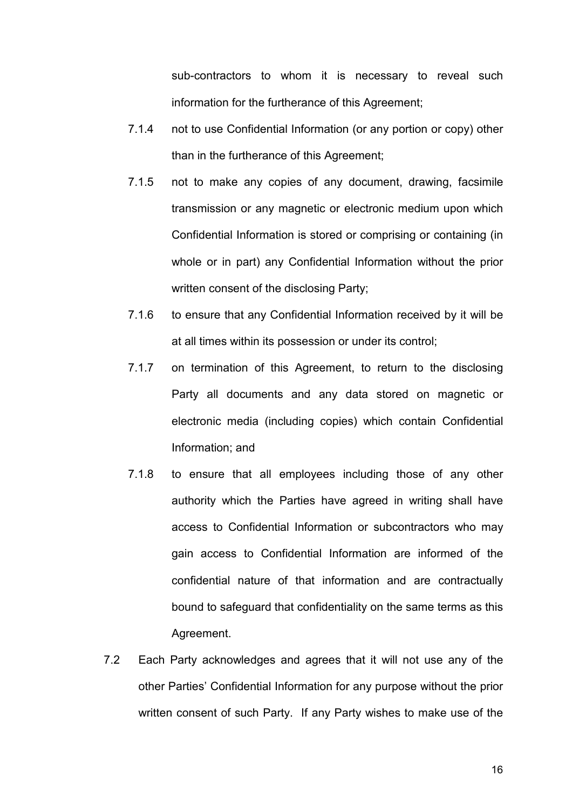sub-contractors to whom it is necessary to reveal such information for the furtherance of this Agreement;

- 7.1.4 not to use Confidential Information (or any portion or copy) other than in the furtherance of this Agreement;
- 7.1.5 not to make any copies of any document, drawing, facsimile transmission or any magnetic or electronic medium upon which Confidential Information is stored or comprising or containing (in whole or in part) any Confidential Information without the prior written consent of the disclosing Party;
- 7.1.6 to ensure that any Confidential Information received by it will be at all times within its possession or under its control;
- 7.1.7 on termination of this Agreement, to return to the disclosing Party all documents and any data stored on magnetic or electronic media (including copies) which contain Confidential Information; and
- 7.1.8 to ensure that all employees including those of any other authority which the Parties have agreed in writing shall have access to Confidential Information or subcontractors who may gain access to Confidential Information are informed of the confidential nature of that information and are contractually bound to safeguard that confidentiality on the same terms as this Agreement.
- 7.2 Each Party acknowledges and agrees that it will not use any of the other Parties' Confidential Information for any purpose without the prior written consent of such Party. If any Party wishes to make use of the

16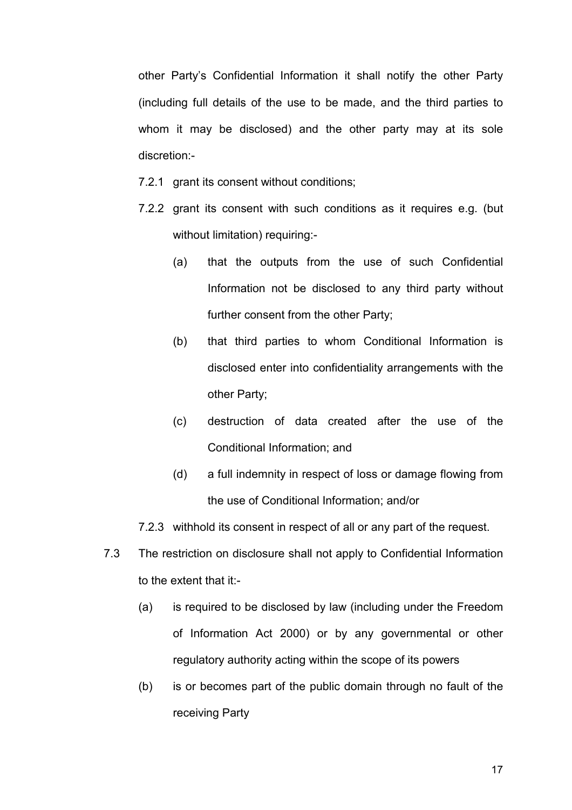other Party's Confidential Information it shall notify the other Party (including full details of the use to be made, and the third parties to whom it may be disclosed) and the other party may at its sole discretion:-

- 7.2.1 grant its consent without conditions;
- 7.2.2 grant its consent with such conditions as it requires e.g. (but without limitation) requiring:-
	- (a) that the outputs from the use of such Confidential Information not be disclosed to any third party without further consent from the other Party;
	- (b) that third parties to whom Conditional Information is disclosed enter into confidentiality arrangements with the other Party;
	- (c) destruction of data created after the use of the Conditional Information; and
	- (d) a full indemnity in respect of loss or damage flowing from the use of Conditional Information; and/or
- 7.2.3 withhold its consent in respect of all or any part of the request.
- 7.3 The restriction on disclosure shall not apply to Confidential Information to the extent that it:-
	- (a) is required to be disclosed by law (including under the Freedom of Information Act 2000) or by any governmental or other regulatory authority acting within the scope of its powers
	- (b) is or becomes part of the public domain through no fault of the receiving Party

17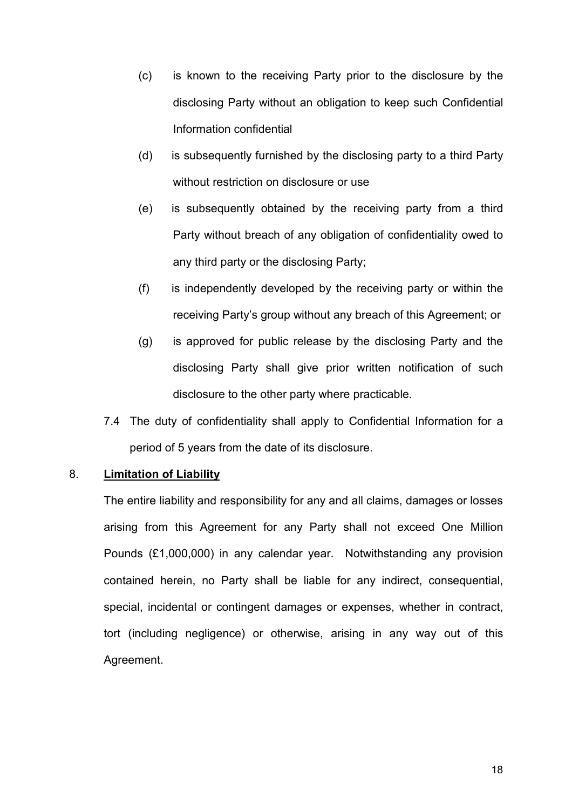- (c) is known to the receiving Party prior to the disclosure by the disclosing Party without an obligation to keep such Confidential Information confidential
- (d) is subsequently furnished by the disclosing party to a third Party without restriction on disclosure or use
- (e) is subsequently obtained by the receiving party from a third Party without breach of any obligation of confidentiality owed to any third party or the disclosing Party;
- (f) is independently developed by the receiving party or within the receiving Party's group without any breach of this Agreement; or
- (g) is approved for public release by the disclosing Party and the disclosing Party shall give prior written notification of such disclosure to the other party where practicable.
- 7.4 The duty of confidentiality shall apply to Confidential Information for a period of 5 years from the date of its disclosure.

#### 8. Limitation of Liability

The entire liability and responsibility for any and all claims, damages or losses arising from this Agreement for any Party shall not exceed One Million Pounds (£1,000,000) in any calendar year. Notwithstanding any provision contained herein, no Party shall be liable for any indirect, consequential, special, incidental or contingent damages or expenses, whether in contract, tort (including negligence) or otherwise, arising in any way out of this Agreement.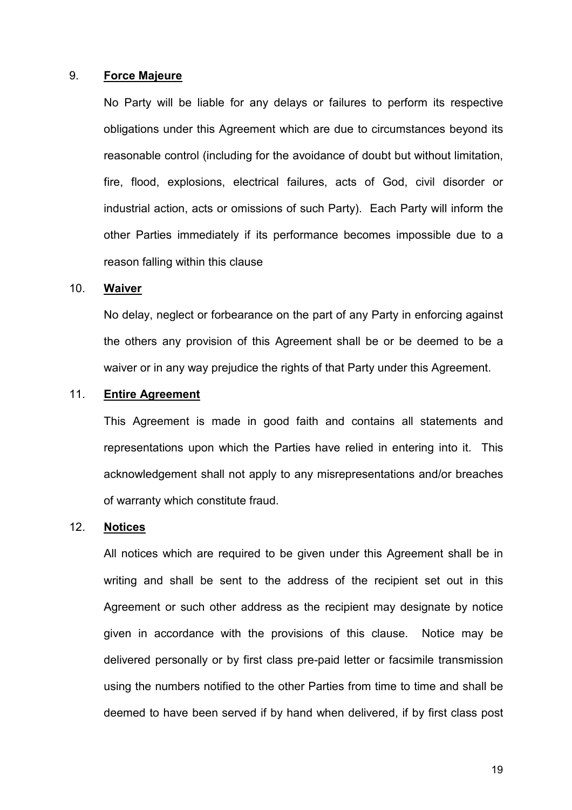#### 9. Force Majeure

 No Party will be liable for any delays or failures to perform its respective obligations under this Agreement which are due to circumstances beyond its reasonable control (including for the avoidance of doubt but without limitation, fire, flood, explosions, electrical failures, acts of God, civil disorder or industrial action, acts or omissions of such Party). Each Party will inform the other Parties immediately if its performance becomes impossible due to a reason falling within this clause

#### 10. Waiver

No delay, neglect or forbearance on the part of any Party in enforcing against the others any provision of this Agreement shall be or be deemed to be a waiver or in any way prejudice the rights of that Party under this Agreement.

#### 11. Entire Agreement

This Agreement is made in good faith and contains all statements and representations upon which the Parties have relied in entering into it. This acknowledgement shall not apply to any misrepresentations and/or breaches of warranty which constitute fraud.

#### 12. Notices

 All notices which are required to be given under this Agreement shall be in writing and shall be sent to the address of the recipient set out in this Agreement or such other address as the recipient may designate by notice given in accordance with the provisions of this clause. Notice may be delivered personally or by first class pre-paid letter or facsimile transmission using the numbers notified to the other Parties from time to time and shall be deemed to have been served if by hand when delivered, if by first class post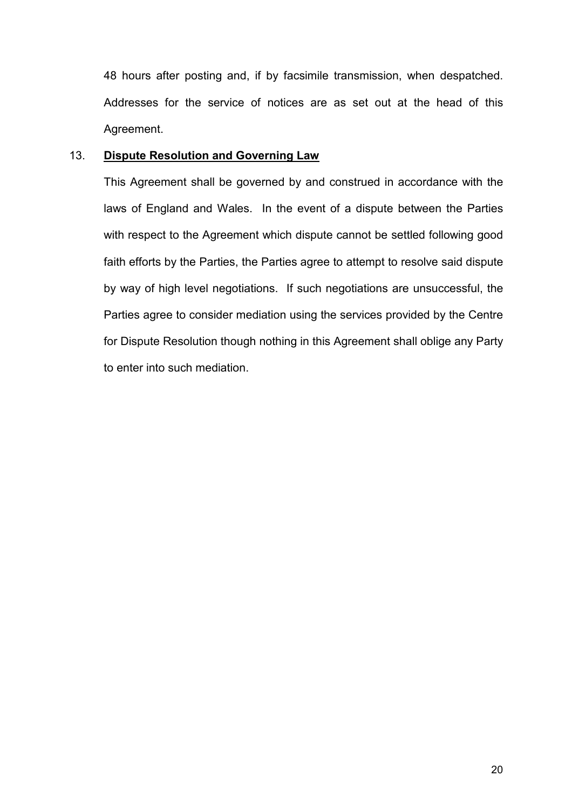48 hours after posting and, if by facsimile transmission, when despatched. Addresses for the service of notices are as set out at the head of this Agreement.

#### 13. Dispute Resolution and Governing Law

This Agreement shall be governed by and construed in accordance with the laws of England and Wales. In the event of a dispute between the Parties with respect to the Agreement which dispute cannot be settled following good faith efforts by the Parties, the Parties agree to attempt to resolve said dispute by way of high level negotiations. If such negotiations are unsuccessful, the Parties agree to consider mediation using the services provided by the Centre for Dispute Resolution though nothing in this Agreement shall oblige any Party to enter into such mediation.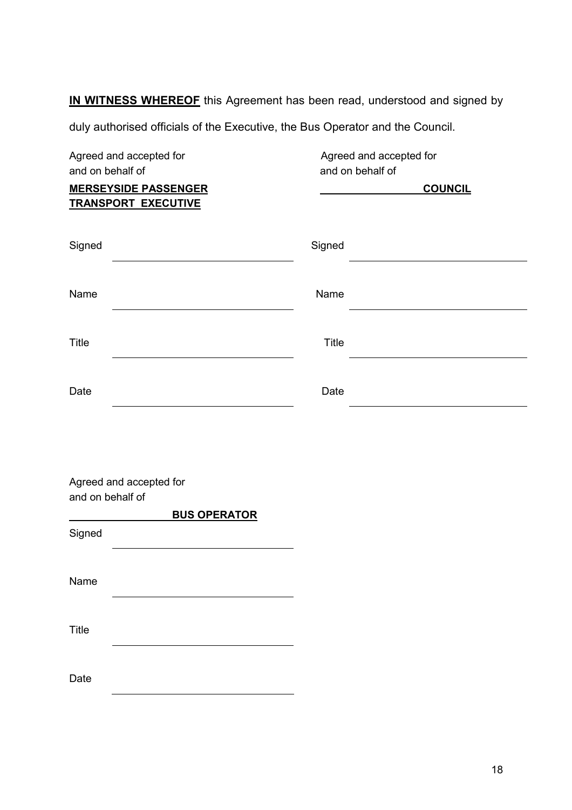IN WITNESS WHEREOF this Agreement has been read, understood and signed by

duly authorised officials of the Executive, the Bus Operator and the Council.

| Agreed and accepted for                                                       | Agreed and accepted for |                                    |
|-------------------------------------------------------------------------------|-------------------------|------------------------------------|
| and on behalf of<br><b>MERSEYSIDE PASSENGER</b><br><b>TRANSPORT EXECUTIVE</b> |                         | and on behalf of<br><b>COUNCIL</b> |
| Signed                                                                        | Signed                  |                                    |
| Name                                                                          | Name                    |                                    |
| <b>Title</b>                                                                  | <b>Title</b>            |                                    |
| Date                                                                          | Date                    |                                    |
|                                                                               |                         |                                    |
| Agreed and accepted for<br>and on behalf of<br><b>BUS OPERATOR</b>            |                         |                                    |
| Signed                                                                        |                         |                                    |
| Name                                                                          |                         |                                    |

Title

Date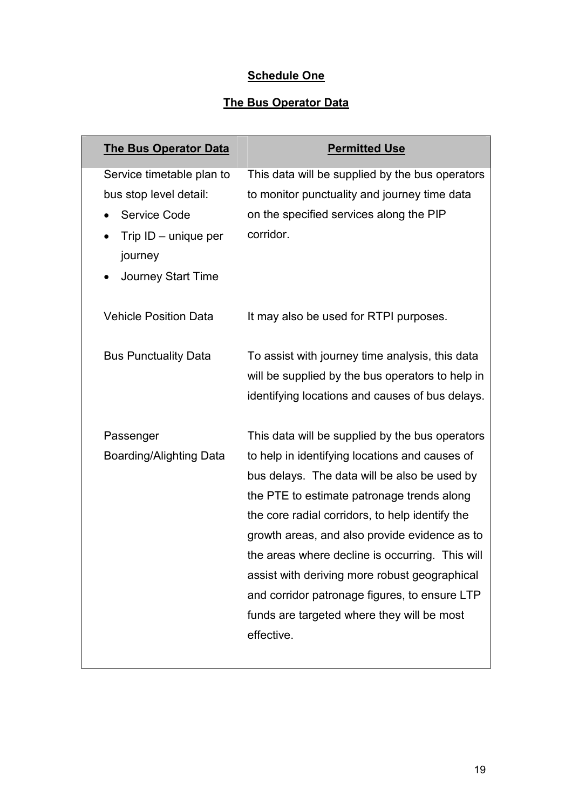# **Schedule One**

# **The Bus Operator Data**

| <b>The Bus Operator Data</b>   | <b>Permitted Use</b>                             |
|--------------------------------|--------------------------------------------------|
| Service timetable plan to      | This data will be supplied by the bus operators  |
| bus stop level detail:         | to monitor punctuality and journey time data     |
| <b>Service Code</b>            | on the specified services along the PIP          |
| Trip $ID$ – unique per         | corridor.                                        |
| journey                        |                                                  |
| <b>Journey Start Time</b>      |                                                  |
| <b>Vehicle Position Data</b>   | It may also be used for RTPI purposes.           |
| <b>Bus Punctuality Data</b>    | To assist with journey time analysis, this data  |
|                                | will be supplied by the bus operators to help in |
|                                | identifying locations and causes of bus delays.  |
| Passenger                      | This data will be supplied by the bus operators  |
| <b>Boarding/Alighting Data</b> | to help in identifying locations and causes of   |
|                                | bus delays. The data will be also be used by     |
|                                | the PTE to estimate patronage trends along       |
|                                | the core radial corridors, to help identify the  |
|                                | growth areas, and also provide evidence as to    |
|                                | the areas where decline is occurring. This will  |
|                                | assist with deriving more robust geographical    |
|                                | and corridor patronage figures, to ensure LTP    |
|                                | funds are targeted where they will be most       |
|                                | effective.                                       |
|                                |                                                  |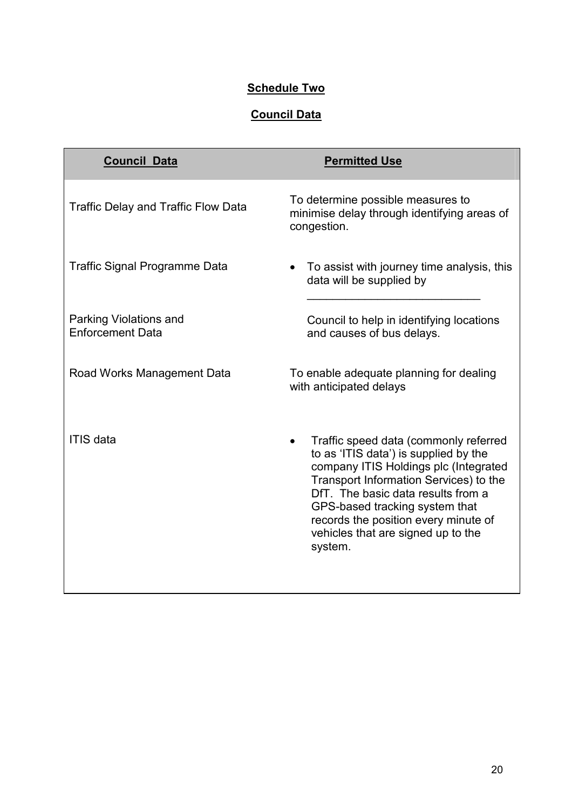# **Schedule Two**

# Council Data

| <b>Council Data</b>                               | <b>Permitted Use</b>                                                                                                                                                                                                                                                                                                               |
|---------------------------------------------------|------------------------------------------------------------------------------------------------------------------------------------------------------------------------------------------------------------------------------------------------------------------------------------------------------------------------------------|
| <b>Traffic Delay and Traffic Flow Data</b>        | To determine possible measures to<br>minimise delay through identifying areas of<br>congestion.                                                                                                                                                                                                                                    |
| <b>Traffic Signal Programme Data</b>              | To assist with journey time analysis, this<br>data will be supplied by                                                                                                                                                                                                                                                             |
| Parking Violations and<br><b>Enforcement Data</b> | Council to help in identifying locations<br>and causes of bus delays.                                                                                                                                                                                                                                                              |
| Road Works Management Data                        | To enable adequate planning for dealing<br>with anticipated delays                                                                                                                                                                                                                                                                 |
| <b>ITIS data</b>                                  | Traffic speed data (commonly referred<br>to as 'ITIS data') is supplied by the<br>company ITIS Holdings plc (Integrated<br>Transport Information Services) to the<br>DfT. The basic data results from a<br>GPS-based tracking system that<br>records the position every minute of<br>vehicles that are signed up to the<br>system. |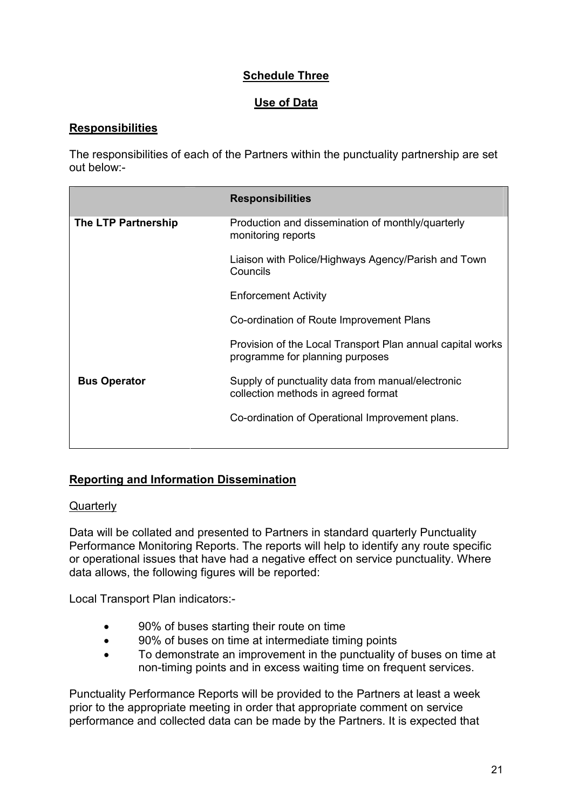# Schedule Three

## Use of Data

## **Responsibilities**

The responsibilities of each of the Partners within the punctuality partnership are set out below:-

|                     | <b>Responsibilities</b>                                                                       |
|---------------------|-----------------------------------------------------------------------------------------------|
| The LTP Partnership | Production and dissemination of monthly/quarterly<br>monitoring reports                       |
|                     | Liaison with Police/Highways Agency/Parish and Town<br>Councils                               |
|                     | <b>Enforcement Activity</b>                                                                   |
|                     | Co-ordination of Route Improvement Plans                                                      |
|                     | Provision of the Local Transport Plan annual capital works<br>programme for planning purposes |
| <b>Bus Operator</b> | Supply of punctuality data from manual/electronic<br>collection methods in agreed format      |
|                     | Co-ordination of Operational Improvement plans.                                               |
|                     |                                                                                               |

## Reporting and Information Dissemination

#### **Quarterly**

Data will be collated and presented to Partners in standard quarterly Punctuality Performance Monitoring Reports. The reports will help to identify any route specific or operational issues that have had a negative effect on service punctuality. Where data allows, the following figures will be reported:

Local Transport Plan indicators:-

- 90% of buses starting their route on time
- 90% of buses on time at intermediate timing points
- To demonstrate an improvement in the punctuality of buses on time at non-timing points and in excess waiting time on frequent services.

Punctuality Performance Reports will be provided to the Partners at least a week prior to the appropriate meeting in order that appropriate comment on service performance and collected data can be made by the Partners. It is expected that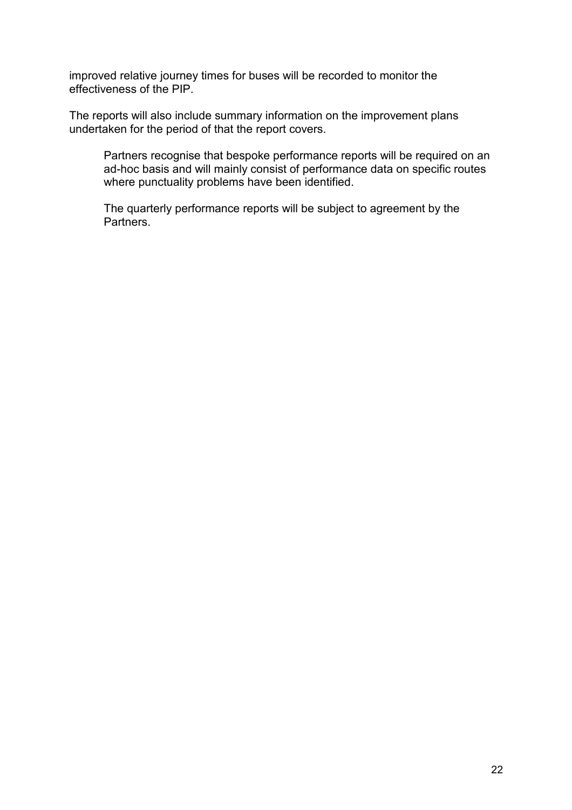improved relative journey times for buses will be recorded to monitor the effectiveness of the PIP.

The reports will also include summary information on the improvement plans undertaken for the period of that the report covers.

Partners recognise that bespoke performance reports will be required on an ad-hoc basis and will mainly consist of performance data on specific routes where punctuality problems have been identified.

The quarterly performance reports will be subject to agreement by the Partners.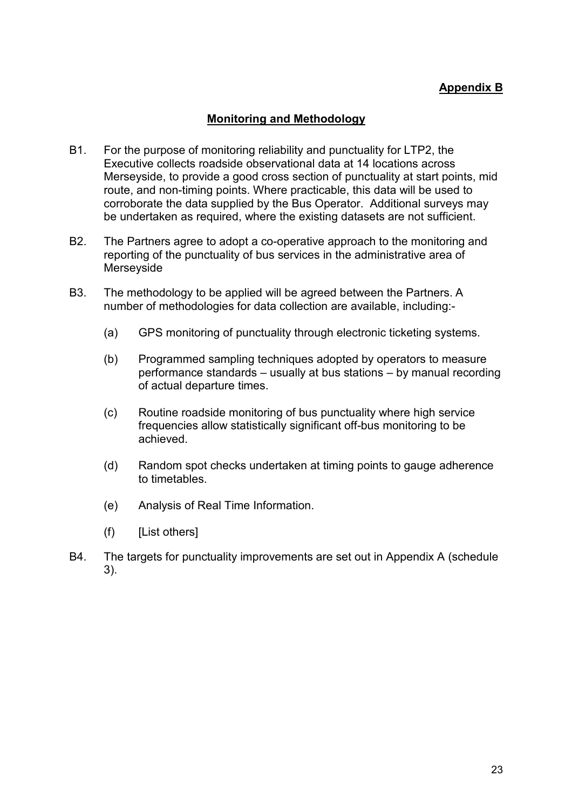# Appendix B

## Monitoring and Methodology

- B1. For the purpose of monitoring reliability and punctuality for LTP2, the Executive collects roadside observational data at 14 locations across Merseyside, to provide a good cross section of punctuality at start points, mid route, and non-timing points. Where practicable, this data will be used to corroborate the data supplied by the Bus Operator. Additional surveys may be undertaken as required, where the existing datasets are not sufficient.
- B2. The Partners agree to adopt a co-operative approach to the monitoring and reporting of the punctuality of bus services in the administrative area of Merseyside
- B3. The methodology to be applied will be agreed between the Partners. A number of methodologies for data collection are available, including:-
	- (a) GPS monitoring of punctuality through electronic ticketing systems.
	- (b) Programmed sampling techniques adopted by operators to measure performance standards – usually at bus stations – by manual recording of actual departure times.
	- (c) Routine roadside monitoring of bus punctuality where high service frequencies allow statistically significant off-bus monitoring to be achieved.
	- (d) Random spot checks undertaken at timing points to gauge adherence to timetables.
	- (e) Analysis of Real Time Information.
	- (f) [List others]
- B4. The targets for punctuality improvements are set out in Appendix A (schedule 3).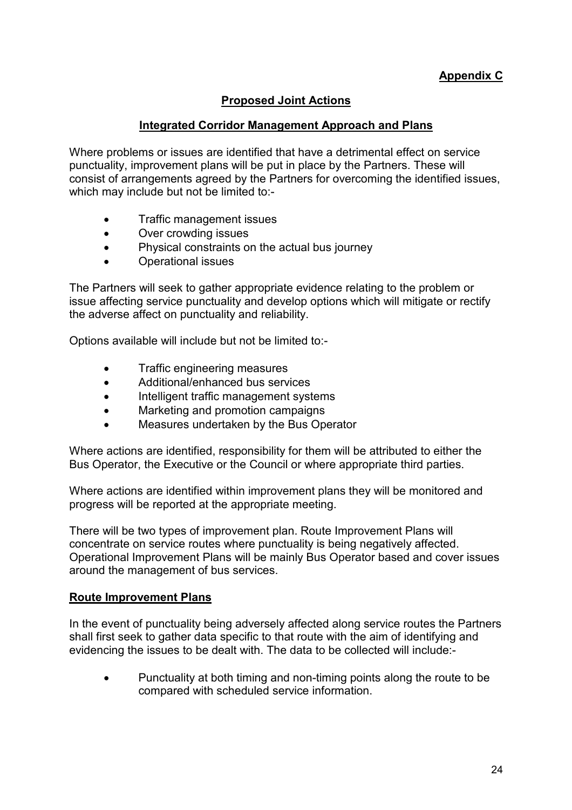# Proposed Joint Actions

## Integrated Corridor Management Approach and Plans

Where problems or issues are identified that have a detrimental effect on service punctuality, improvement plans will be put in place by the Partners. These will consist of arrangements agreed by the Partners for overcoming the identified issues, which may include but not be limited to:-

- Traffic management issues
- Over crowding issues
- Physical constraints on the actual bus journey
- Operational issues

The Partners will seek to gather appropriate evidence relating to the problem or issue affecting service punctuality and develop options which will mitigate or rectify the adverse affect on punctuality and reliability.

Options available will include but not be limited to:-

- Traffic engineering measures
- Additional/enhanced bus services
- Intelligent traffic management systems
- Marketing and promotion campaigns
- Measures undertaken by the Bus Operator

Where actions are identified, responsibility for them will be attributed to either the Bus Operator, the Executive or the Council or where appropriate third parties.

Where actions are identified within improvement plans they will be monitored and progress will be reported at the appropriate meeting.

There will be two types of improvement plan. Route Improvement Plans will concentrate on service routes where punctuality is being negatively affected. Operational Improvement Plans will be mainly Bus Operator based and cover issues around the management of bus services.

#### Route Improvement Plans

In the event of punctuality being adversely affected along service routes the Partners shall first seek to gather data specific to that route with the aim of identifying and evidencing the issues to be dealt with. The data to be collected will include:-

• Punctuality at both timing and non-timing points along the route to be compared with scheduled service information.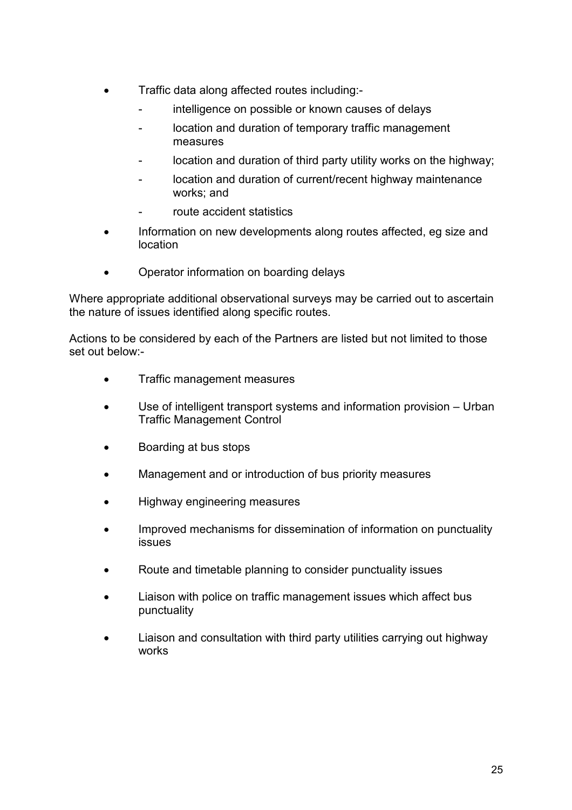- Traffic data along affected routes including:-
	- intelligence on possible or known causes of delays
	- location and duration of temporary traffic management measures
	- location and duration of third party utility works on the highway;
	- location and duration of current/recent highway maintenance works; and
	- route accident statistics
- Information on new developments along routes affected, eg size and location
- Operator information on boarding delays

Where appropriate additional observational surveys may be carried out to ascertain the nature of issues identified along specific routes.

Actions to be considered by each of the Partners are listed but not limited to those set out below:-

- Traffic management measures
- Use of intelligent transport systems and information provision Urban Traffic Management Control
- Boarding at bus stops
- Management and or introduction of bus priority measures
- Highway engineering measures
- Improved mechanisms for dissemination of information on punctuality issues
- Route and timetable planning to consider punctuality issues
- Liaison with police on traffic management issues which affect bus punctuality
- Liaison and consultation with third party utilities carrying out highway works